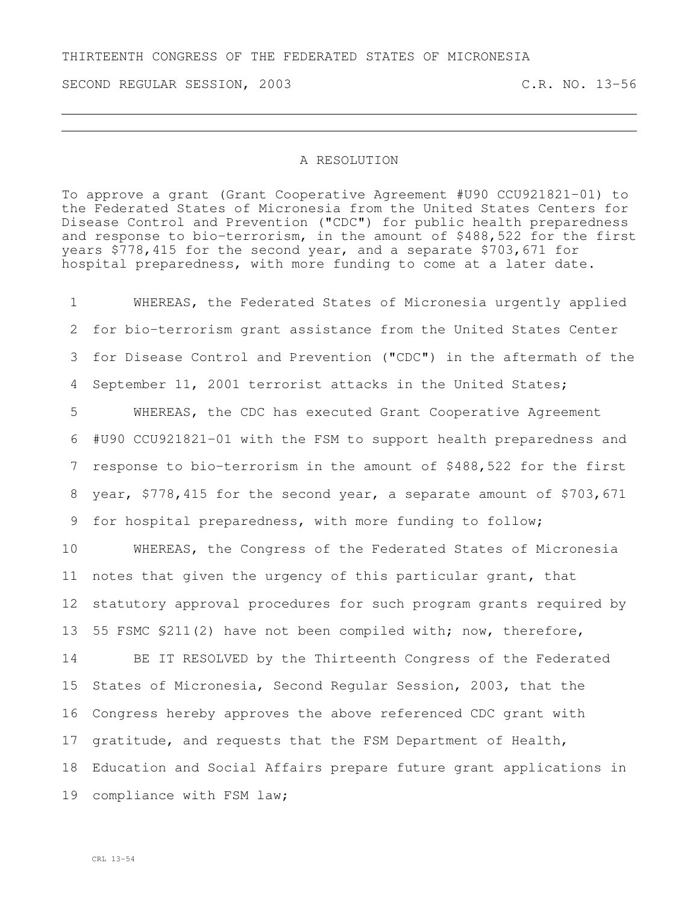THIRTEENTH CONGRESS OF THE FEDERATED STATES OF MICRONESIA

SECOND REGULAR SESSION, 2003 C.R. NO. 13-56

## A RESOLUTION

To approve a grant (Grant Cooperative Agreement #U90 CCU921821-01) to the Federated States of Micronesia from the United States Centers for Disease Control and Prevention ("CDC") for public health preparedness and response to bio-terrorism, in the amount of \$488,522 for the first years \$778,415 for the second year, and a separate \$703,671 for hospital preparedness, with more funding to come at a later date.

 WHEREAS, the Federated States of Micronesia urgently applied for bio-terrorism grant assistance from the United States Center for Disease Control and Prevention ("CDC") in the aftermath of the September 11, 2001 terrorist attacks in the United States; WHEREAS, the CDC has executed Grant Cooperative Agreement #U90 CCU921821-01 with the FSM to support health preparedness and response to bio-terrorism in the amount of \$488,522 for the first year, \$778,415 for the second year, a separate amount of \$703,671

for hospital preparedness, with more funding to follow;

 WHEREAS, the Congress of the Federated States of Micronesia notes that given the urgency of this particular grant, that statutory approval procedures for such program grants required by 55 FSMC §211(2) have not been compiled with; now, therefore, BE IT RESOLVED by the Thirteenth Congress of the Federated States of Micronesia, Second Regular Session, 2003, that the Congress hereby approves the above referenced CDC grant with gratitude, and requests that the FSM Department of Health, Education and Social Affairs prepare future grant applications in compliance with FSM law;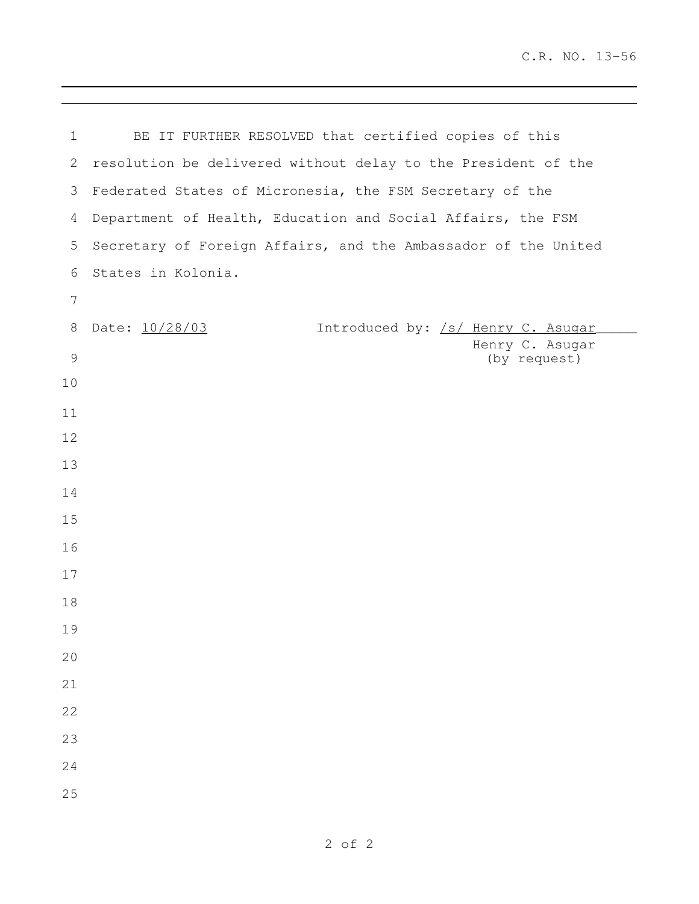| $\mathbf 1$      | BE IT FURTHER RESOLVED that certified copies of this           |
|------------------|----------------------------------------------------------------|
| 2                | resolution be delivered without delay to the President of the  |
| 3                | Federated States of Micronesia, the FSM Secretary of the       |
| 4                | Department of Health, Education and Social Affairs, the FSM    |
| 5                | Secretary of Foreign Affairs, and the Ambassador of the United |
| 6                | States in Kolonia.                                             |
| $\boldsymbol{7}$ |                                                                |
| 8                | Date: 10/28/03<br>Introduced by: /s/ Henry C. Asugar           |
| $\mathcal{G}$    | Henry C. Asugar<br>(by request)                                |
| 10               |                                                                |
| 11               |                                                                |
| 12               |                                                                |
| 13               |                                                                |
| 14               |                                                                |
| 15               |                                                                |
| 16               |                                                                |
| 17               |                                                                |
| 18               |                                                                |
| 19               |                                                                |
| 20               |                                                                |
| 21               |                                                                |
| 22               |                                                                |
| 23               |                                                                |
| 24               |                                                                |
| 25               |                                                                |